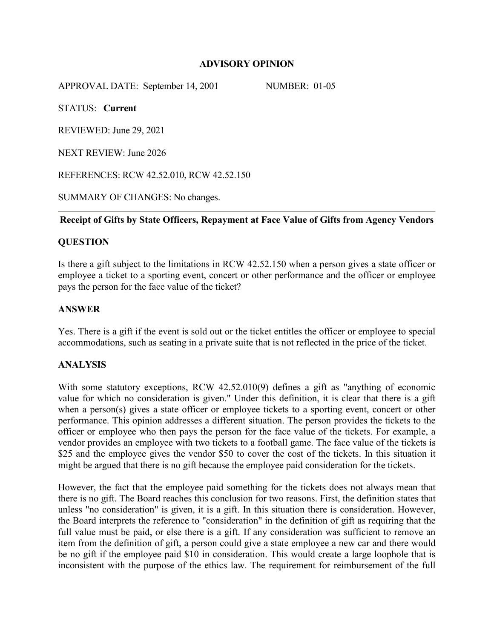## **ADVISORY OPINION**

APPROVAL DATE: September 14, 2001 NUMBER: 01-05

STATUS: **Current** 

REVIEWED: June 29, 2021

NEXT REVIEW: June 2026

REFERENCES: RCW 42.52.010, RCW 42.52.150

SUMMARY OF CHANGES: No changes.

### **Receipt of Gifts by State Officers, Repayment at Face Value of Gifts from Agency Vendors**

# **QUESTION**

Is there a gift subject to the limitations in RCW 42.52.150 when a person gives a state officer or employee a ticket to a sporting event, concert or other performance and the officer or employee pays the person for the face value of the ticket?

## **ANSWER**

Yes. There is a gift if the event is sold out or the ticket entitles the officer or employee to special accommodations, such as seating in a private suite that is not reflected in the price of the ticket.

## **ANALYSIS**

With some statutory exceptions, RCW 42.52.010(9) defines a gift as "anything of economic value for which no consideration is given." Under this definition, it is clear that there is a gift when a person(s) gives a state officer or employee tickets to a sporting event, concert or other performance. This opinion addresses a different situation. The person provides the tickets to the officer or employee who then pays the person for the face value of the tickets. For example, a vendor provides an employee with two tickets to a football game. The face value of the tickets is \$25 and the employee gives the vendor \$50 to cover the cost of the tickets. In this situation it might be argued that there is no gift because the employee paid consideration for the tickets.

However, the fact that the employee paid something for the tickets does not always mean that there is no gift. The Board reaches this conclusion for two reasons. First, the definition states that unless "no consideration" is given, it is a gift. In this situation there is consideration. However, the Board interprets the reference to "consideration" in the definition of gift as requiring that the full value must be paid, or else there is a gift. If any consideration was sufficient to remove an item from the definition of gift, a person could give a state employee a new car and there would be no gift if the employee paid \$10 in consideration. This would create a large loophole that is inconsistent with the purpose of the ethics law. The requirement for reimbursement of the full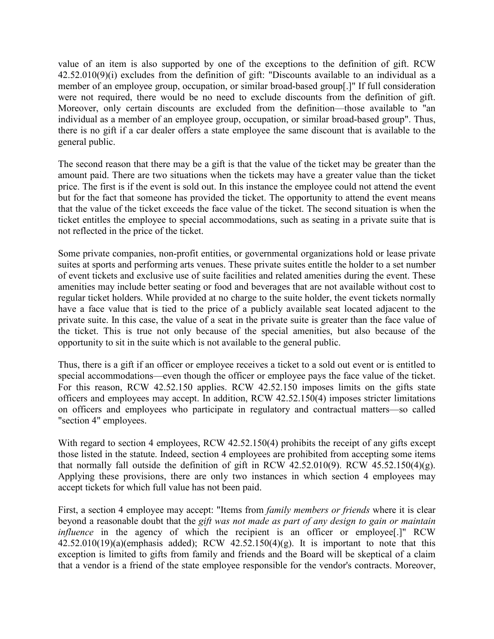value of an item is also supported by one of the exceptions to the definition of gift. RCW 42.52.010(9)(i) excludes from the definition of gift: "Discounts available to an individual as a member of an employee group, occupation, or similar broad-based group[.]" If full consideration were not required, there would be no need to exclude discounts from the definition of gift. Moreover, only certain discounts are excluded from the definition—those available to "an individual as a member of an employee group, occupation, or similar broad-based group". Thus, there is no gift if a car dealer offers a state employee the same discount that is available to the general public.

The second reason that there may be a gift is that the value of the ticket may be greater than the amount paid. There are two situations when the tickets may have a greater value than the ticket price. The first is if the event is sold out. In this instance the employee could not attend the event but for the fact that someone has provided the ticket. The opportunity to attend the event means that the value of the ticket exceeds the face value of the ticket. The second situation is when the ticket entitles the employee to special accommodations, such as seating in a private suite that is not reflected in the price of the ticket.

Some private companies, non-profit entities, or governmental organizations hold or lease private suites at sports and performing arts venues. These private suites entitle the holder to a set number of event tickets and exclusive use of suite facilities and related amenities during the event. These amenities may include better seating or food and beverages that are not available without cost to regular ticket holders. While provided at no charge to the suite holder, the event tickets normally have a face value that is tied to the price of a publicly available seat located adjacent to the private suite. In this case, the value of a seat in the private suite is greater than the face value of the ticket. This is true not only because of the special amenities, but also because of the opportunity to sit in the suite which is not available to the general public.

Thus, there is a gift if an officer or employee receives a ticket to a sold out event or is entitled to special accommodations—even though the officer or employee pays the face value of the ticket. For this reason, RCW 42.52.150 applies. RCW 42.52.150 imposes limits on the gifts state officers and employees may accept. In addition, RCW 42.52.150(4) imposes stricter limitations on officers and employees who participate in regulatory and contractual matters—so called "section 4" employees.

With regard to section 4 employees, RCW 42.52.150(4) prohibits the receipt of any gifts except those listed in the statute. Indeed, section 4 employees are prohibited from accepting some items that normally fall outside the definition of gift in RCW 42.52.010(9). RCW 45.52.150(4)(g). Applying these provisions, there are only two instances in which section 4 employees may accept tickets for which full value has not been paid.

First, a section 4 employee may accept: "Items from *family members or friends* where it is clear beyond a reasonable doubt that the *gift was not made as part of any design to gain or maintain influence* in the agency of which the recipient is an officer or employee<sup>[.]"</sup> RCW  $42.52.010(19)(a)$ (emphasis added); RCW  $42.52.150(4)(g)$ . It is important to note that this exception is limited to gifts from family and friends and the Board will be skeptical of a claim that a vendor is a friend of the state employee responsible for the vendor's contracts. Moreover,